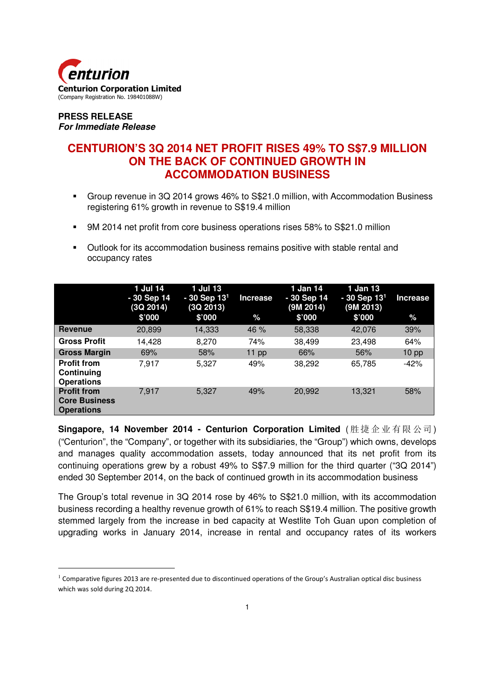

#### **PRESS RELEASE For Immediate Release**

 $\overline{a}$ 

# **CENTURION'S 3Q 2014 NET PROFIT RISES 49% TO S\$7.9 MILLION ON THE BACK OF CONTINUED GROWTH IN ACCOMMODATION BUSINESS**

- Group revenue in 3Q 2014 grows 46% to S\$21.0 million, with Accommodation Business registering 61% growth in revenue to S\$19.4 million
- 9M 2014 net profit from core business operations rises 58% to S\$21.0 million
- Outlook for its accommodation business remains positive with stable rental and occupancy rates

|                                                                 | 1 Jul 14<br>- 30 Sep 14<br>(3Q 2014)<br>\$'000 | 1 Jul 13<br>$-30$ Sep $131$<br>(3Q 2013)<br>\$'000 | <b>Increase</b><br>% | 1 Jan 14<br>- 30 Sep 14<br>(9M 2014)<br>\$'000 | 1 Jan 13<br>$-30$ Sep $131$<br>(9M 2013)<br>\$'000 | <b>Increase</b><br>% |
|-----------------------------------------------------------------|------------------------------------------------|----------------------------------------------------|----------------------|------------------------------------------------|----------------------------------------------------|----------------------|
| <b>Revenue</b>                                                  | 20,899                                         | 14,333                                             | 46 %                 | 58,338                                         | 42,076                                             | 39%                  |
| <b>Gross Profit</b>                                             | 14.428                                         | 8.270                                              | 74%                  | 38,499                                         | 23,498                                             | 64%                  |
| <b>Gross Margin</b>                                             | 69%                                            | 58%                                                | $11$ pp              | 66%                                            | 56%                                                | 10 <sub>pp</sub>     |
| <b>Profit from</b><br>Continuing<br><b>Operations</b>           | 7.917                                          | 5,327                                              | 49%                  | 38,292                                         | 65,785                                             | $-42%$               |
| <b>Profit from</b><br><b>Core Business</b><br><b>Operations</b> | 7,917                                          | 5,327                                              | 49%                  | 20,992                                         | 13,321                                             | 58%                  |

**Singapore, 14 November 2014 - Centurion Corporation Limited** ( 胜 捷 企业 有限 公司) ("Centurion", the "Company", or together with its subsidiaries, the "Group") which owns, develops and manages quality accommodation assets, today announced that its net profit from its continuing operations grew by a robust 49% to S\$7.9 million for the third quarter ("3Q 2014") ended 30 September 2014, on the back of continued growth in its accommodation business

The Group's total revenue in 3Q 2014 rose by 46% to S\$21.0 million, with its accommodation business recording a healthy revenue growth of 61% to reach S\$19.4 million. The positive growth stemmed largely from the increase in bed capacity at Westlite Toh Guan upon completion of upgrading works in January 2014, increase in rental and occupancy rates of its workers

 $1$  Comparative figures 2013 are re-presented due to discontinued operations of the Group's Australian optical disc business which was sold during 2Q 2014.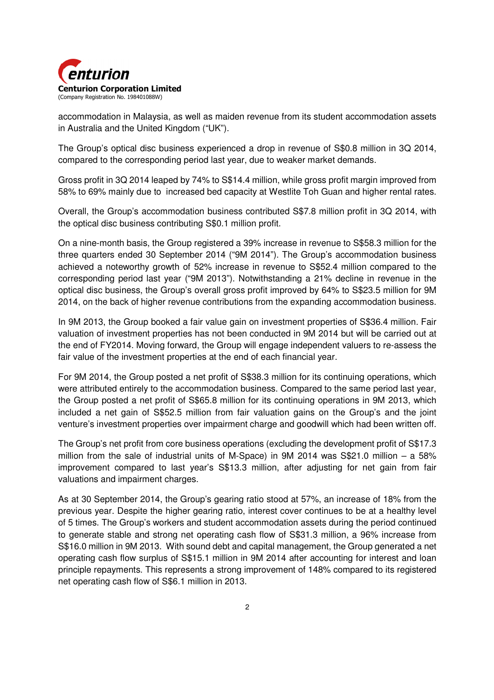

accommodation in Malaysia, as well as maiden revenue from its student accommodation assets in Australia and the United Kingdom ("UK").

The Group's optical disc business experienced a drop in revenue of S\$0.8 million in 3Q 2014, compared to the corresponding period last year, due to weaker market demands.

Gross profit in 3Q 2014 leaped by 74% to S\$14.4 million, while gross profit margin improved from 58% to 69% mainly due to increased bed capacity at Westlite Toh Guan and higher rental rates.

Overall, the Group's accommodation business contributed S\$7.8 million profit in 3Q 2014, with the optical disc business contributing S\$0.1 million profit.

On a nine-month basis, the Group registered a 39% increase in revenue to S\$58.3 million for the three quarters ended 30 September 2014 ("9M 2014"). The Group's accommodation business achieved a noteworthy growth of 52% increase in revenue to S\$52.4 million compared to the corresponding period last year ("9M 2013"). Notwithstanding a 21% decline in revenue in the optical disc business, the Group's overall gross profit improved by 64% to S\$23.5 million for 9M 2014, on the back of higher revenue contributions from the expanding accommodation business.

In 9M 2013, the Group booked a fair value gain on investment properties of S\$36.4 million. Fair valuation of investment properties has not been conducted in 9M 2014 but will be carried out at the end of FY2014. Moving forward, the Group will engage independent valuers to re-assess the fair value of the investment properties at the end of each financial year.

For 9M 2014, the Group posted a net profit of S\$38.3 million for its continuing operations, which were attributed entirely to the accommodation business. Compared to the same period last year, the Group posted a net profit of S\$65.8 million for its continuing operations in 9M 2013, which included a net gain of S\$52.5 million from fair valuation gains on the Group's and the joint venture's investment properties over impairment charge and goodwill which had been written off.

The Group's net profit from core business operations (excluding the development profit of S\$17.3 million from the sale of industrial units of M-Space) in 9M 2014 was S\$21.0 million – a 58% improvement compared to last year's S\$13.3 million, after adjusting for net gain from fair valuations and impairment charges.

As at 30 September 2014, the Group's gearing ratio stood at 57%, an increase of 18% from the previous year. Despite the higher gearing ratio, interest cover continues to be at a healthy level of 5 times. The Group's workers and student accommodation assets during the period continued to generate stable and strong net operating cash flow of S\$31.3 million, a 96% increase from S\$16.0 million in 9M 2013. With sound debt and capital management, the Group generated a net operating cash flow surplus of S\$15.1 million in 9M 2014 after accounting for interest and loan principle repayments. This represents a strong improvement of 148% compared to its registered net operating cash flow of S\$6.1 million in 2013.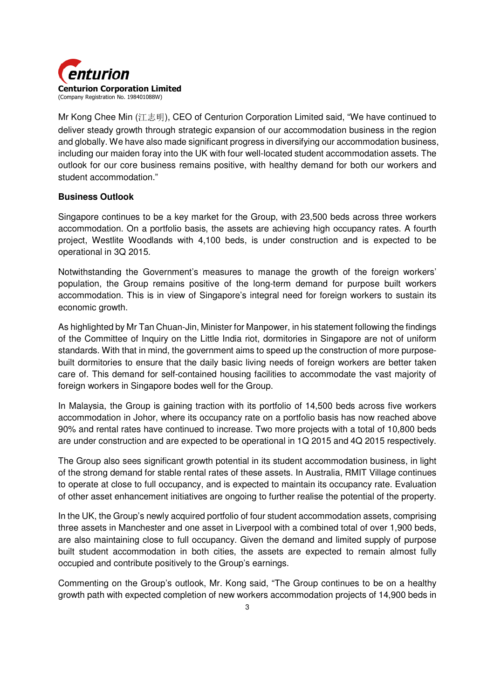

Mr Kong Chee Min (江志明), CEO of Centurion Corporation Limited said, "We have continued to deliver steady growth through strategic expansion of our accommodation business in the region and globally. We have also made significant progress in diversifying our accommodation business, including our maiden foray into the UK with four well-located student accommodation assets. The outlook for our core business remains positive, with healthy demand for both our workers and student accommodation."

### **Business Outlook**

Singapore continues to be a key market for the Group, with 23,500 beds across three workers accommodation. On a portfolio basis, the assets are achieving high occupancy rates. A fourth project, Westlite Woodlands with 4,100 beds, is under construction and is expected to be operational in 3Q 2015.

Notwithstanding the Government's measures to manage the growth of the foreign workers' population, the Group remains positive of the long-term demand for purpose built workers accommodation. This is in view of Singapore's integral need for foreign workers to sustain its economic growth.

As highlighted by Mr Tan Chuan-Jin, Minister for Manpower, in his statement following the findings of the Committee of Inquiry on the Little India riot, dormitories in Singapore are not of uniform standards. With that in mind, the government aims to speed up the construction of more purposebuilt dormitories to ensure that the daily basic living needs of foreign workers are better taken care of. This demand for self-contained housing facilities to accommodate the vast majority of foreign workers in Singapore bodes well for the Group.

In Malaysia, the Group is gaining traction with its portfolio of 14,500 beds across five workers accommodation in Johor, where its occupancy rate on a portfolio basis has now reached above 90% and rental rates have continued to increase. Two more projects with a total of 10,800 beds are under construction and are expected to be operational in 1Q 2015 and 4Q 2015 respectively.

The Group also sees significant growth potential in its student accommodation business, in light of the strong demand for stable rental rates of these assets. In Australia, RMIT Village continues to operate at close to full occupancy, and is expected to maintain its occupancy rate. Evaluation of other asset enhancement initiatives are ongoing to further realise the potential of the property.

In the UK, the Group's newly acquired portfolio of four student accommodation assets, comprising three assets in Manchester and one asset in Liverpool with a combined total of over 1,900 beds, are also maintaining close to full occupancy. Given the demand and limited supply of purpose built student accommodation in both cities, the assets are expected to remain almost fully occupied and contribute positively to the Group's earnings.

Commenting on the Group's outlook, Mr. Kong said, "The Group continues to be on a healthy growth path with expected completion of new workers accommodation projects of 14,900 beds in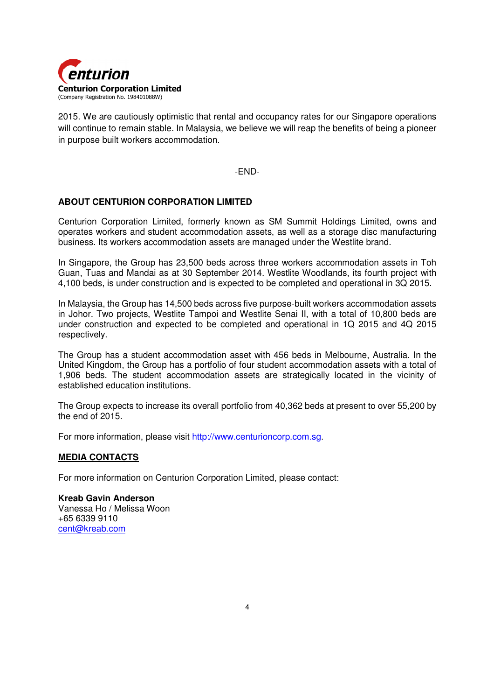

2015. We are cautiously optimistic that rental and occupancy rates for our Singapore operations will continue to remain stable. In Malaysia, we believe we will reap the benefits of being a pioneer in purpose built workers accommodation.

-END-

### **ABOUT CENTURION CORPORATION LIMITED**

Centurion Corporation Limited, formerly known as SM Summit Holdings Limited, owns and operates workers and student accommodation assets, as well as a storage disc manufacturing business. Its workers accommodation assets are managed under the Westlite brand.

In Singapore, the Group has 23,500 beds across three workers accommodation assets in Toh Guan, Tuas and Mandai as at 30 September 2014. Westlite Woodlands, its fourth project with 4,100 beds, is under construction and is expected to be completed and operational in 3Q 2015.

In Malaysia, the Group has 14,500 beds across five purpose-built workers accommodation assets in Johor. Two projects, Westlite Tampoi and Westlite Senai II, with a total of 10,800 beds are under construction and expected to be completed and operational in 1Q 2015 and 4Q 2015 respectively.

The Group has a student accommodation asset with 456 beds in Melbourne, Australia. In the United Kingdom, the Group has a portfolio of four student accommodation assets with a total of 1,906 beds. The student accommodation assets are strategically located in the vicinity of established education institutions.

The Group expects to increase its overall portfolio from 40,362 beds at present to over 55,200 by the end of 2015.

For more information, please visit http://www.centurioncorp.com.sg.

### **MEDIA CONTACTS**

For more information on Centurion Corporation Limited, please contact:

**Kreab Gavin Anderson**  Vanessa Ho / Melissa Woon +65 6339 9110 cent@kreab.com